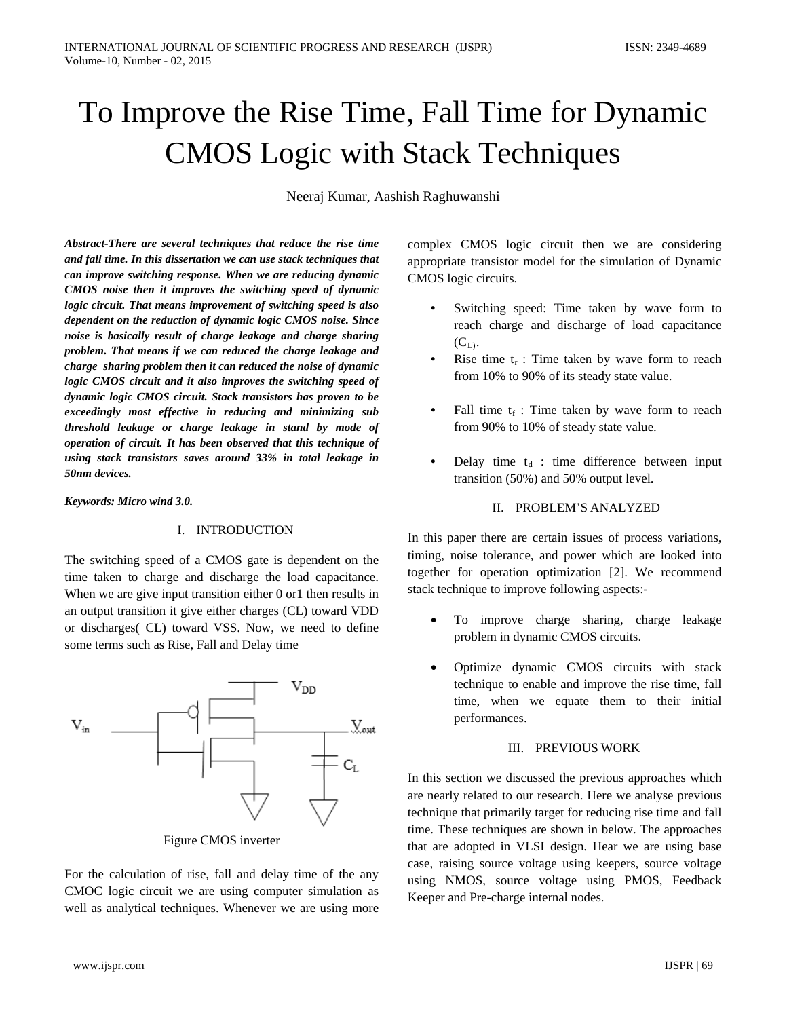# To Improve the Rise Time, Fall Time for Dynamic CMOS Logic with Stack Techniques

Neeraj Kumar, Aashish Raghuwanshi

*Abstract-There are several techniques that reduce the rise time and fall time. In this dissertation we can use stack techniques that can improve switching response. When we are reducing dynamic CMOS noise then it improves the switching speed of dynamic logic circuit. That means improvement of switching speed is also dependent on the reduction of dynamic logic CMOS noise. Since noise is basically result of charge leakage and charge sharing problem. That means if we can reduced the charge leakage and charge sharing problem then it can reduced the noise of dynamic logic CMOS circuit and it also improves the switching speed of dynamic logic CMOS circuit. Stack transistors has proven to be exceedingly most effective in reducing and minimizing sub threshold leakage or charge leakage in stand by mode of operation of circuit. It has been observed that this technique of using stack transistors saves around 33% in total leakage in 50nm devices.*

*Keywords: Micro wind 3.0.*

## I. INTRODUCTION

The switching speed of a CMOS gate is dependent on the time taken to charge and discharge the load capacitance. When we are give input transition either 0 or1 then results in an output transition it give either charges (CL) toward VDD or discharges( CL) toward VSS. Now, we need to define some terms such as Rise, Fall and Delay time



Figure CMOS inverter

For the calculation of rise, fall and delay time of the any CMOC logic circuit we are using computer simulation as well as analytical techniques. Whenever we are using more complex CMOS logic circuit then we are considering appropriate transistor model for the simulation of Dynamic CMOS logic circuits.

- **•** Switching speed: Time taken by wave form to reach charge and discharge of load capacitance  $(C<sub>L</sub>)$ .
- Rise time  $t_r$ : Time taken by wave form to reach from 10% to 90% of its steady state value.
- Fall time  $t_f$ : Time taken by wave form to reach from 90% to 10% of steady state value.
- Delay time  $t_d$  : time difference between input transition (50%) and 50% output level.

# II. PROBLEM'S ANALYZED

In this paper there are certain issues of process variations, timing, noise tolerance, and power which are looked into together for operation optimization [2]. We recommend stack technique to improve following aspects:-

- To improve charge sharing, charge leakage problem in dynamic CMOS circuits.
- Optimize dynamic CMOS circuits with stack technique to enable and improve the rise time, fall time, when we equate them to their initial performances.

# III. PREVIOUS WORK

In this section we discussed the previous approaches which are nearly related to our research. Here we analyse previous technique that primarily target for reducing rise time and fall time. These techniques are shown in below. The approaches that are adopted in VLSI design. Hear we are using base case, raising source voltage using keepers, source voltage using NMOS, source voltage using PMOS, Feedback Keeper and Pre-charge internal nodes.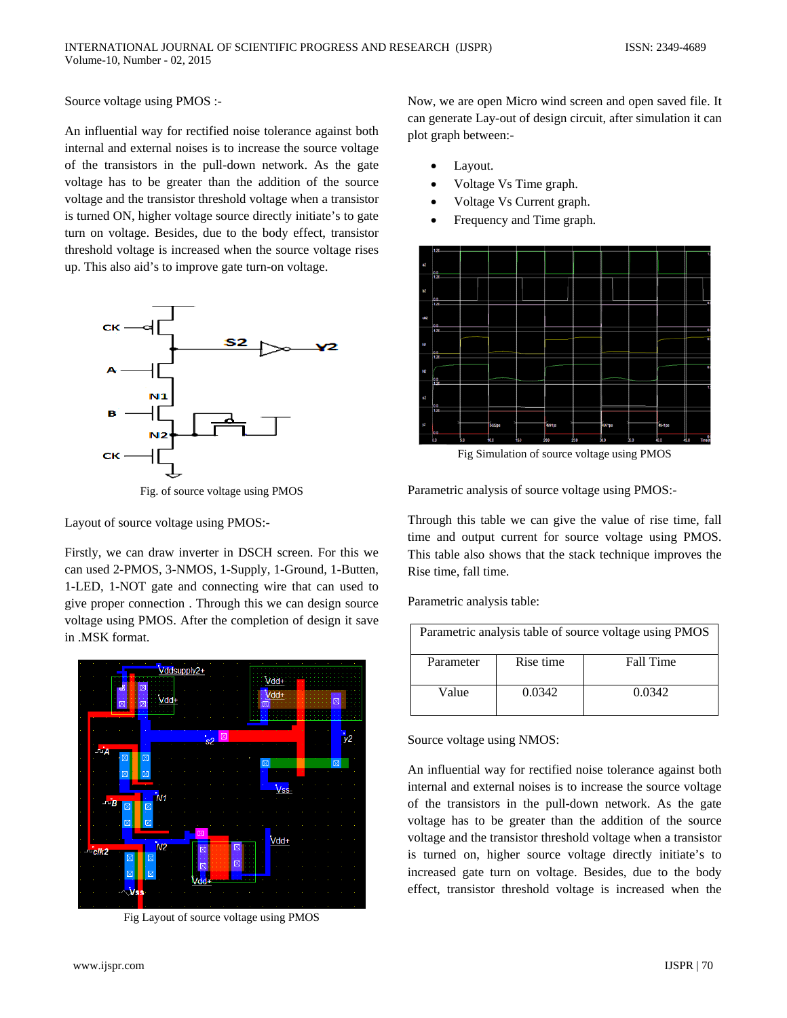Source voltage using PMOS :-

An influential way for rectified noise tolerance against both internal and external noises is to increase the source voltage of the transistors in the pull-down network. As the gate voltage has to be greater than the addition of the source voltage and the transistor threshold voltage when a transistor is turned ON, higher voltage source directly initiate's to gate turn on voltage. Besides, due to the body effect, transistor threshold voltage is increased when the source voltage rises up. This also aid's to improve gate turn-on voltage.



Fig. of source voltage using PMOS

Layout of source voltage using PMOS:-

Firstly, we can draw inverter in DSCH screen. For this we can used 2-PMOS, 3-NMOS, 1-Supply, 1-Ground, 1-Butten, 1-LED, 1-NOT gate and connecting wire that can used to give proper connection . Through this we can design source voltage using PMOS. After the completion of design it save in .MSK format.



Fig Layout of source voltage using PMOS

Now, we are open Micro wind screen and open saved file. It can generate Lay-out of design circuit, after simulation it can plot graph between:-

- Layout.
- Voltage Vs Time graph.
- Voltage Vs Current graph.
- Frequency and Time graph.



Fig Simulation of source voltage using PMOS

Parametric analysis of source voltage using PMOS:-

Through this table we can give the value of rise time, fall time and output current for source voltage using PMOS. This table also shows that the stack technique improves the Rise time, fall time.

Parametric analysis table:

| Parametric analysis table of source voltage using PMOS |           |           |  |
|--------------------------------------------------------|-----------|-----------|--|
| Parameter                                              | Rise time | Fall Time |  |
| Value                                                  | 0.0342    | 0.0342    |  |

Source voltage using NMOS:

An influential way for rectified noise tolerance against both internal and external noises is to increase the source voltage of the transistors in the pull-down network. As the gate voltage has to be greater than the addition of the source voltage and the transistor threshold voltage when a transistor is turned on, higher source voltage directly initiate's to increased gate turn on voltage. Besides, due to the body effect, transistor threshold voltage is increased when the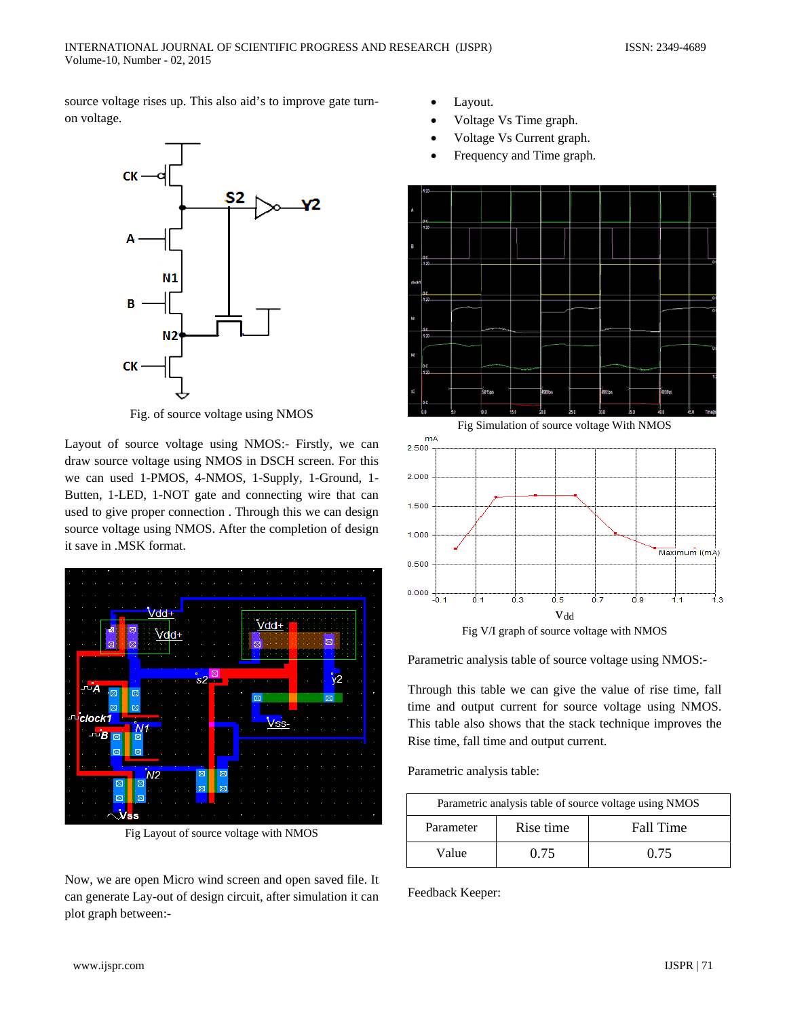source voltage rises up. This also aid's to improve gate turnon voltage.



Fig. of source voltage using NMOS

Layout of source voltage using NMOS:- Firstly, we can draw source voltage using NMOS in DSCH screen. For this we can used 1-PMOS, 4-NMOS, 1-Supply, 1-Ground, 1- Butten, 1-LED, 1-NOT gate and connecting wire that can used to give proper connection . Through this we can design source voltage using NMOS. After the completion of design it save in .MSK format.



Fig Layout of source voltage with NMOS

Now, we are open Micro wind screen and open saved file. It can generate Lay-out of design circuit, after simulation it can plot graph between:-

- Layout.
- Voltage Vs Time graph.
- Voltage Vs Current graph.
- Frequency and Time graph.



![](_page_2_Figure_14.jpeg)

Parametric analysis table of source voltage using NMOS:-

Through this table we can give the value of rise time, fall time and output current for source voltage using NMOS. This table also shows that the stack technique improves the Rise time, fall time and output current.

Parametric analysis table:

| Parametric analysis table of source voltage using NMOS |           |           |  |
|--------------------------------------------------------|-----------|-----------|--|
| Parameter                                              | Rise time | Fall Time |  |
| Value                                                  | 0.75      | 0.75      |  |

Feedback Keeper: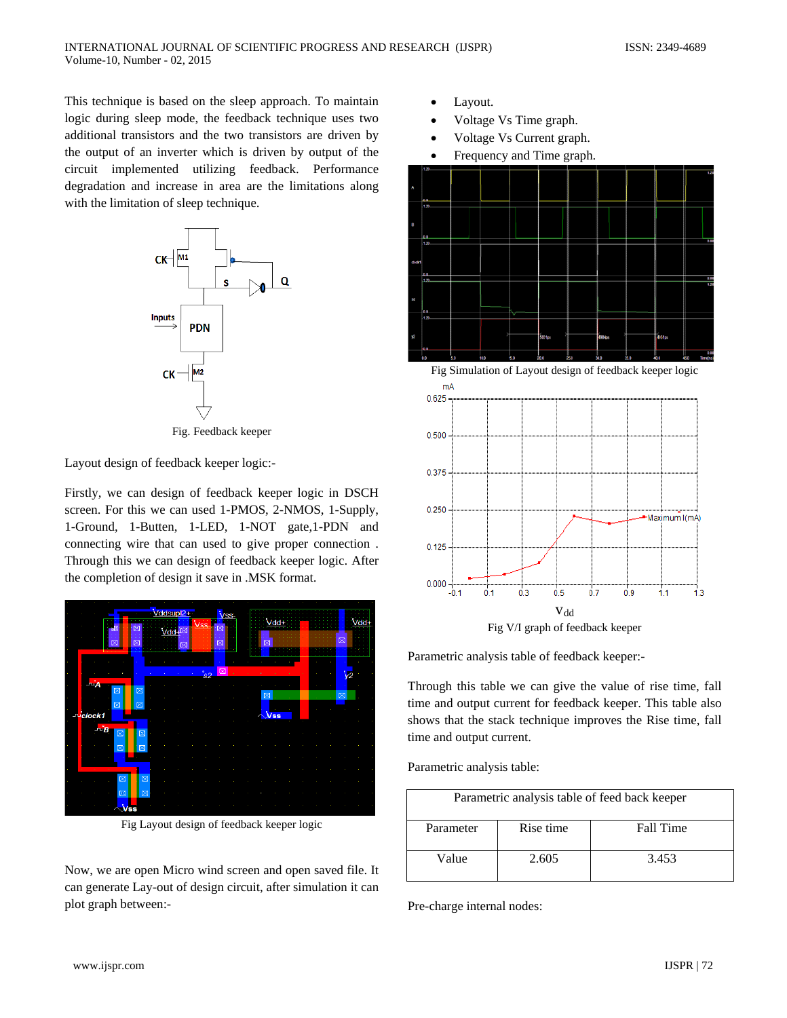This technique is based on the sleep approach. To maintain logic during sleep mode, the feedback technique uses two additional transistors and the two transistors are driven by the output of an inverter which is driven by output of the circuit implemented utilizing feedback. Performance degradation and increase in area are the limitations along with the limitation of sleep technique.

![](_page_3_Figure_3.jpeg)

Layout design of feedback keeper logic:-

Firstly, we can design of feedback keeper logic in DSCH screen. For this we can used 1-PMOS, 2-NMOS, 1-Supply, 1-Ground, 1-Butten, 1-LED, 1-NOT gate,1-PDN and connecting wire that can used to give proper connection . Through this we can design of feedback keeper logic. After the completion of design it save in .MSK format.

![](_page_3_Picture_7.jpeg)

Fig Layout design of feedback keeper logic

Now, we are open Micro wind screen and open saved file. It can generate Lay-out of design circuit, after simulation it can plot graph between:-

- Layout.
- Voltage Vs Time graph.
- Voltage Vs Current graph.

![](_page_3_Figure_13.jpeg)

Parametric analysis table of feedback keeper:-

Through this table we can give the value of rise time, fall time and output current for feedback keeper. This table also shows that the stack technique improves the Rise time, fall time and output current.

Parametric analysis table:

| Parametric analysis table of feed back keeper |           |           |  |
|-----------------------------------------------|-----------|-----------|--|
| Parameter                                     | Rise time | Fall Time |  |
| Value                                         | 2.605     | 3.453     |  |

Pre-charge internal nodes: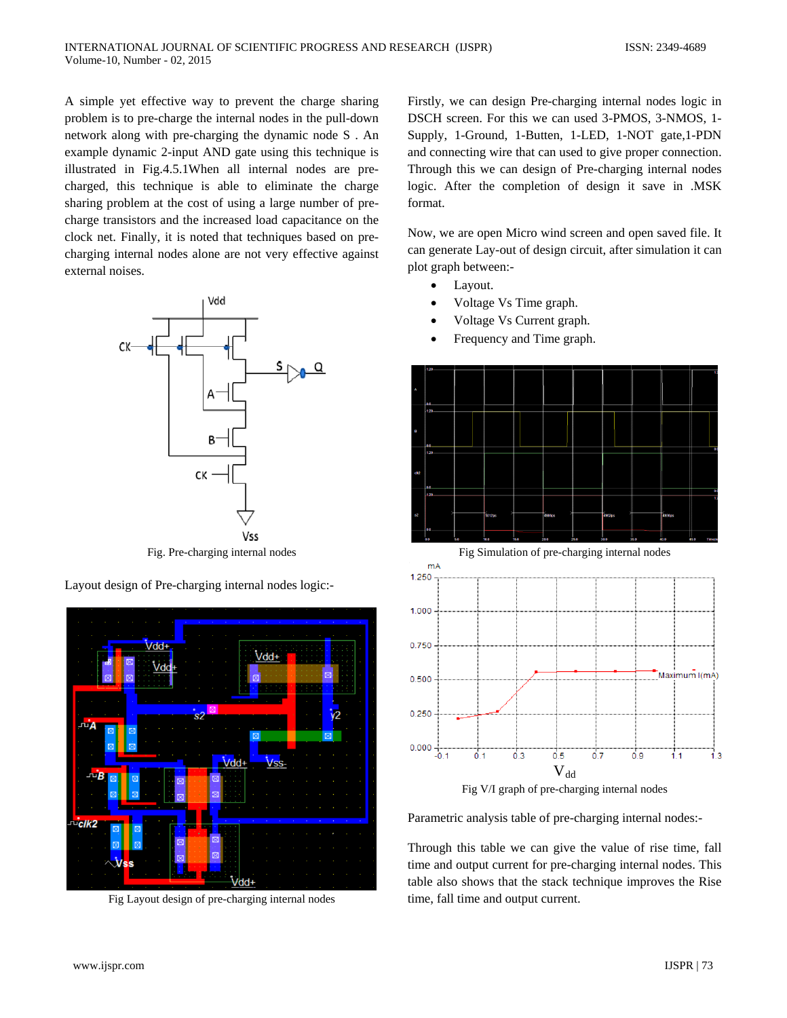A simple yet effective way to prevent the charge sharing problem is to pre-charge the internal nodes in the pull-down network along with pre-charging the dynamic node S . An example dynamic 2-input AND gate using this technique is illustrated in Fig.4.5.1When all internal nodes are precharged, this technique is able to eliminate the charge sharing problem at the cost of using a large number of precharge transistors and the increased load capacitance on the clock net. Finally, it is noted that techniques based on precharging internal nodes alone are not very effective against external noises.

![](_page_4_Figure_3.jpeg)

Fig. Pre-charging internal nodes

Layout design of Pre-charging internal nodes logic:-

![](_page_4_Figure_6.jpeg)

Fig Layout design of pre-charging internal nodes

Firstly, we can design Pre-charging internal nodes logic in DSCH screen. For this we can used 3-PMOS, 3-NMOS, 1- Supply, 1-Ground, 1-Butten, 1-LED, 1-NOT gate,1-PDN and connecting wire that can used to give proper connection. Through this we can design of Pre-charging internal nodes logic. After the completion of design it save in .MSK format.

Now, we are open Micro wind screen and open saved file. It can generate Lay-out of design circuit, after simulation it can plot graph between:-

- Layout.
- Voltage Vs Time graph.
- Voltage Vs Current graph.
- Frequency and Time graph.

![](_page_4_Figure_14.jpeg)

Parametric analysis table of pre-charging internal nodes:-

Through this table we can give the value of rise time, fall time and output current for pre-charging internal nodes. This table also shows that the stack technique improves the Rise time, fall time and output current.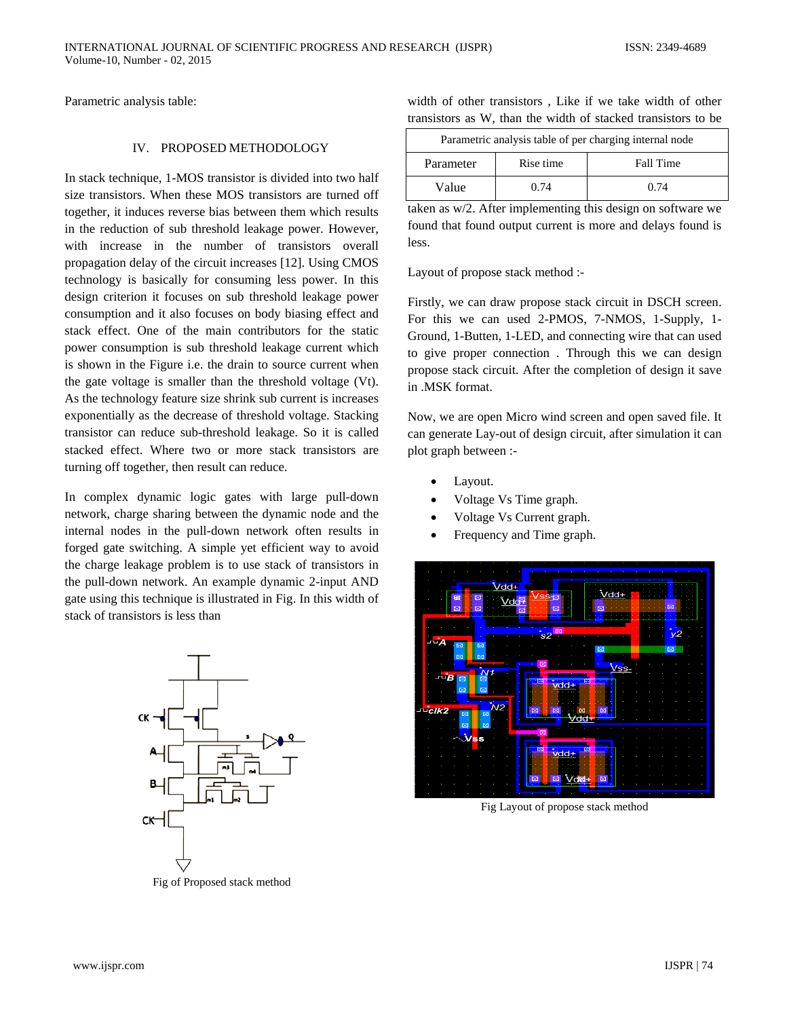Parametric analysis table:

## IV. PROPOSED METHODOLOGY

In stack technique, 1-MOS transistor is divided into two half size transistors. When these MOS transistors are turned off together, it induces reverse bias between them which results in the reduction of sub threshold leakage power. However, with increase in the number of transistors overall propagation delay of the circuit increases [12]. Using CMOS technology is basically for consuming less power. In this design criterion it focuses on sub threshold leakage power consumption and it also focuses on body biasing effect and stack effect. One of the main contributors for the static power consumption is sub threshold leakage current which is shown in the Figure i.e. the drain to source current when the gate voltage is smaller than the threshold voltage (Vt). As the technology feature size shrink sub current is increases exponentially as the decrease of threshold voltage. Stacking transistor can reduce sub-threshold leakage. So it is called stacked effect. Where two or more stack transistors are turning off together, then result can reduce.

In complex dynamic logic gates with large pull-down network, charge sharing between the dynamic node and the internal nodes in the pull-down network often results in forged gate switching. A simple yet efficient way to avoid the charge leakage problem is to use stack of transistors in the pull-down network. An example dynamic 2-input AND gate using this technique is illustrated in Fig. In this width of stack of transistors is less than

![](_page_5_Figure_6.jpeg)

Fig of Proposed stack method

width of other transistors , Like if we take width of other transistors as W, than the width of stacked transistors to be

| Parametric analysis table of per charging internal node |           |           |  |
|---------------------------------------------------------|-----------|-----------|--|
| Parameter                                               | Rise time | Fall Time |  |
| Value                                                   | 0.74      | 0.74      |  |

taken as w/2. After implementing this design on software we found that found output current is more and delays found is less.

Layout of propose stack method :-

Firstly, we can draw propose stack circuit in DSCH screen. For this we can used 2-PMOS, 7-NMOS, 1-Supply, 1- Ground, 1-Butten, 1-LED, and connecting wire that can used to give proper connection . Through this we can design propose stack circuit. After the completion of design it save in .MSK format.

Now, we are open Micro wind screen and open saved file. It can generate Lay-out of design circuit, after simulation it can plot graph between :-

- Layout.
- Voltage Vs Time graph.
- Voltage Vs Current graph.
- Frequency and Time graph.

![](_page_5_Figure_18.jpeg)

Fig Layout of propose stack method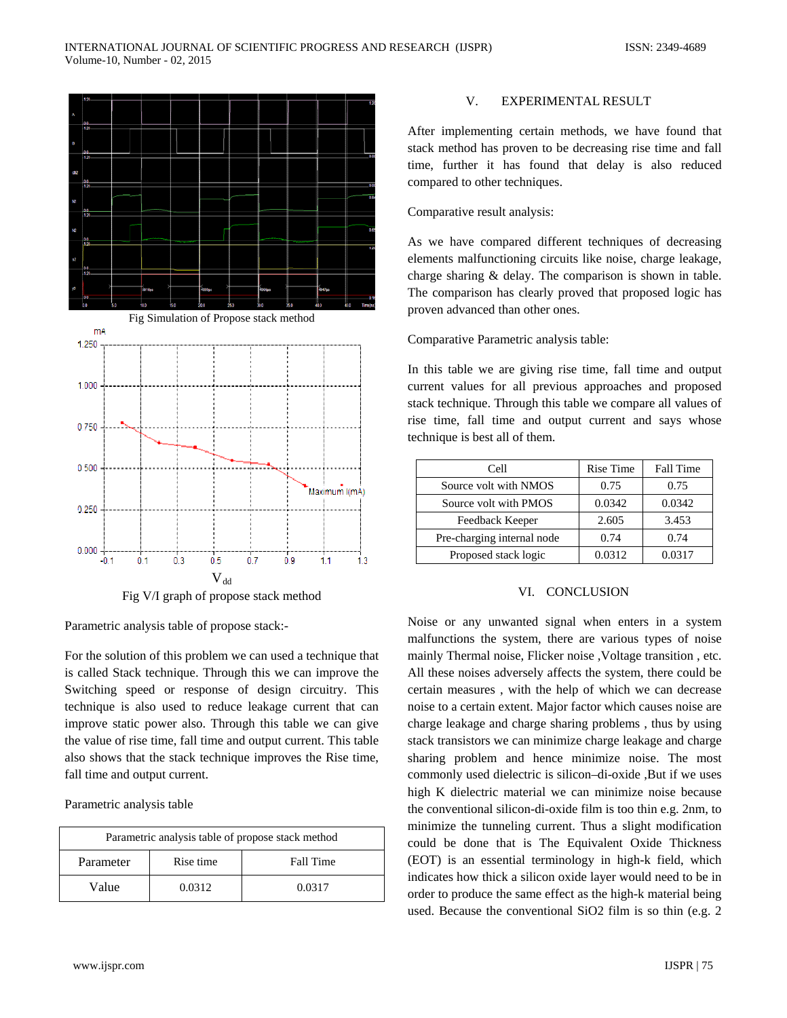![](_page_6_Figure_2.jpeg)

Fig V/I graph of propose stack method

Parametric analysis table of propose stack:-

For the solution of this problem we can used a technique that is called Stack technique. Through this we can improve the Switching speed or response of design circuitry. This technique is also used to reduce leakage current that can improve static power also. Through this table we can give the value of rise time, fall time and output current. This table also shows that the stack technique improves the Rise time, fall time and output current.

Parametric analysis table

| Parametric analysis table of propose stack method |           |           |  |
|---------------------------------------------------|-----------|-----------|--|
| Parameter                                         | Rise time | Fall Time |  |
| Value                                             | 0.0312    | 0.0317    |  |

## V. EXPERIMENTAL RESULT

After implementing certain methods, we have found that stack method has proven to be decreasing rise time and fall time, further it has found that delay is also reduced compared to other techniques.

Comparative result analysis:

As we have compared different techniques of decreasing elements malfunctioning circuits like noise, charge leakage, charge sharing & delay. The comparison is shown in table. The comparison has clearly proved that proposed logic has proven advanced than other ones.

Comparative Parametric analysis table:

In this table we are giving rise time, fall time and output current values for all previous approaches and proposed stack technique. Through this table we compare all values of rise time, fall time and output current and says whose technique is best all of them.

| Cell                       | Rise Time | <b>Fall Time</b> |
|----------------------------|-----------|------------------|
| Source volt with NMOS      | 0.75      | 0.75             |
| Source volt with PMOS      | 0.0342    | 0.0342           |
| Feedback Keeper            | 2.605     | 3.453            |
| Pre-charging internal node | 0.74      | 0.74             |
| Proposed stack logic       | 0.0312    | 0.0317           |

## VI. CONCLUSION

Noise or any unwanted signal when enters in a system malfunctions the system, there are various types of noise mainly Thermal noise, Flicker noise ,Voltage transition , etc. All these noises adversely affects the system, there could be certain measures , with the help of which we can decrease noise to a certain extent. Major factor which causes noise are charge leakage and charge sharing problems , thus by using stack transistors we can minimize charge leakage and charge sharing problem and hence minimize noise. The most commonly used dielectric is silicon–di-oxide ,But if we uses high K dielectric material we can minimize noise because the conventional silicon-di-oxide film is too thin e.g. 2nm, to minimize the tunneling current. Thus a slight modification could be done that is The Equivalent Oxide Thickness (EOT) is an essential terminology in high-k field, which indicates how thick a silicon oxide layer would need to be in order to produce the same effect as the high-k material being used. Because the conventional SiO2 film is so thin (e.g. 2